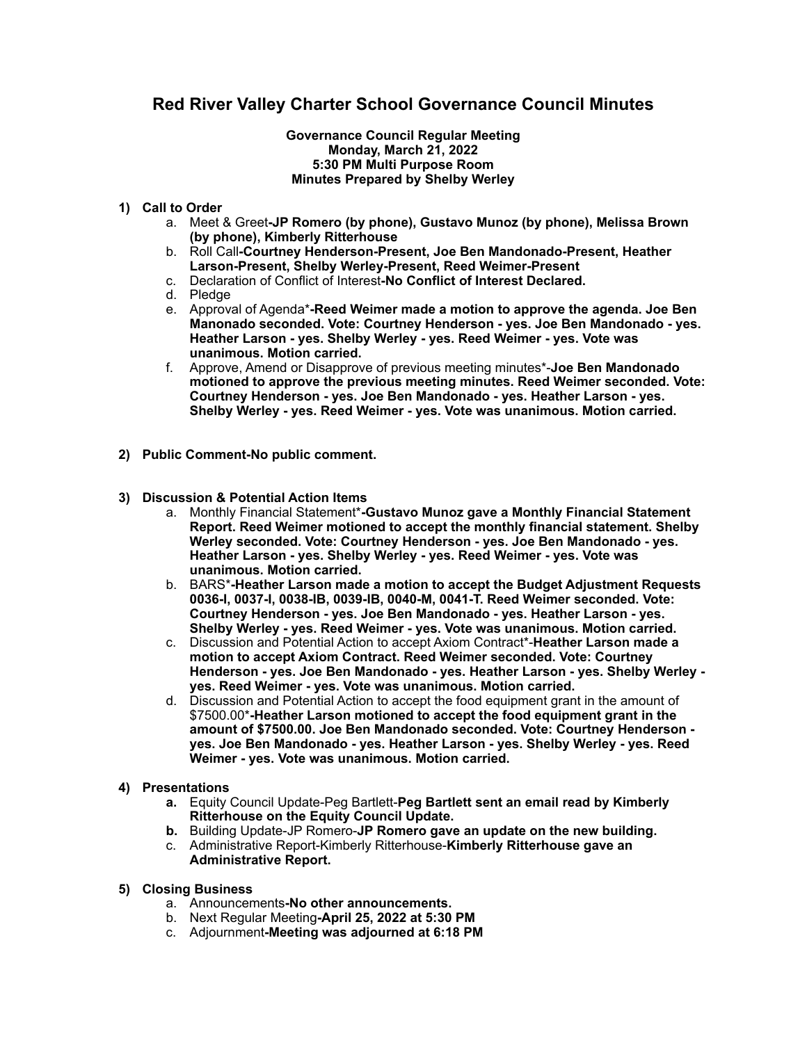## **Red River Valley Charter School Governance Council Minutes**

## **Governance Council Regular Meeting Monday, March 21, 2022 5:30 PM Multi Purpose Room Minutes Prepared by Shelby Werley**

## **1) Call to Order**

- a. Meet & Greet**-JP Romero (by phone), Gustavo Munoz (by phone), Melissa Brown (by phone), Kimberly Ritterhouse**
- b. Roll Call**-Courtney Henderson-Present, Joe Ben Mandonado-Present, Heather Larson-Present, Shelby Werley-Present, Reed Weimer-Present**
- c. Declaration of Conflict of Interest**-No Conflict of Interest Declared.**
- d. Pledge
- e. Approval of Agenda\***-Reed Weimer made a motion to approve the agenda. Joe Ben Manonado seconded. Vote: Courtney Henderson - yes. Joe Ben Mandonado - yes. Heather Larson - yes. Shelby Werley - yes. Reed Weimer - yes. Vote was unanimous. Motion carried.**
- f. Approve, Amend or Disapprove of previous meeting minutes\*-**Joe Ben Mandonado motioned to approve the previous meeting minutes. Reed Weimer seconded. Vote: Courtney Henderson - yes. Joe Ben Mandonado - yes. Heather Larson - yes. Shelby Werley - yes. Reed Weimer - yes. Vote was unanimous. Motion carried.**
- **2) Public Comment-No public comment.**
- **3) Discussion & Potential Action Items** 
	- a. Monthly Financial Statement\***-Gustavo Munoz gave a Monthly Financial Statement Report. Reed Weimer motioned to accept the monthly financial statement. Shelby Werley seconded. Vote: Courtney Henderson - yes. Joe Ben Mandonado - yes. Heather Larson - yes. Shelby Werley - yes. Reed Weimer - yes. Vote was unanimous. Motion carried.**
	- b. BARS\***-Heather Larson made a motion to accept the Budget Adjustment Requests 0036-I, 0037-I, 0038-IB, 0039-IB, 0040-M, 0041-T. Reed Weimer seconded. Vote: Courtney Henderson - yes. Joe Ben Mandonado - yes. Heather Larson - yes. Shelby Werley - yes. Reed Weimer - yes. Vote was unanimous. Motion carried.**
	- c. Discussion and Potential Action to accept Axiom Contract\*-**Heather Larson made a motion to accept Axiom Contract. Reed Weimer seconded. Vote: Courtney Henderson - yes. Joe Ben Mandonado - yes. Heather Larson - yes. Shelby Werley yes. Reed Weimer - yes. Vote was unanimous. Motion carried.**
	- d. Discussion and Potential Action to accept the food equipment grant in the amount of \$7500.00\***-Heather Larson motioned to accept the food equipment grant in the amount of \$7500.00. Joe Ben Mandonado seconded. Vote: Courtney Henderson yes. Joe Ben Mandonado - yes. Heather Larson - yes. Shelby Werley - yes. Reed Weimer - yes. Vote was unanimous. Motion carried.**
- **4) Presentations** 
	- **a.** Equity Council Update-Peg Bartlett-**Peg Bartlett sent an email read by Kimberly Ritterhouse on the Equity Council Update.**
	- **b.** Building Update-JP Romero-**JP Romero gave an update on the new building.**
	- c. Administrative Report-Kimberly Ritterhouse-**Kimberly Ritterhouse gave an Administrative Report.**
- **5) Closing Business** 
	- a. Announcements**-No other announcements.**
	- b. Next Regular Meeting**-April 25, 2022 at 5:30 PM**
	- c. Adjournment**-Meeting was adjourned at 6:18 PM**